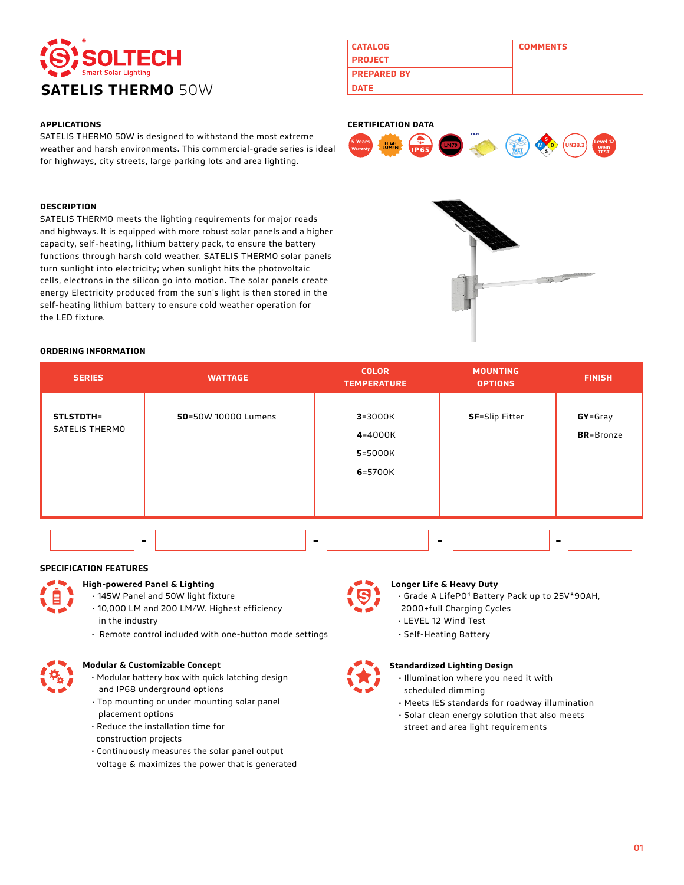

# **APPLICATIONS**

SATELIS THERMO 50W is designed to withstand the most extreme weather and harsh environments. This commercial-grade series is ideal for highways, city streets, large parking lots and area lighting.

#### **DESCRIPTION**

SATELIS THERMO meets the lighting requirements for major roads and highways. It is equipped with more robust solar panels and a higher capacity, self-heating, lithium battery pack, to ensure the battery functions through harsh cold weather. SATELIS THERMO solar panels turn sunlight into electricity; when sunlight hits the photovoltaic cells, electrons in the silicon go into motion. The solar panels create energy Electricity produced from the sun's light is then stored in the self-heating lithium battery to ensure cold weather operation for the LED fixture.

# **CATALOG COMMENTS PROJECT PREPARED BY**

### **CERTIFICATION DATA**





# **ORDERING INFORMATION**

| <b>SERIES</b>                      | <b>WATTAGE</b>      | <b>COLOR</b><br><b>TEMPERATURE</b>           | <b>MOUNTING</b><br><b>OPTIONS</b> | <b>FINISH</b>                |
|------------------------------------|---------------------|----------------------------------------------|-----------------------------------|------------------------------|
| <b>STLSTDTH=</b><br>SATELIS THERMO | 50=50W 10000 Lumens | $3 = 3000K$<br>4=4000K<br>5=5000K<br>6=5700K | <b>SF</b> =Slip Fitter            | GY=Gray<br><b>BR</b> =Bronze |
|                                    | ۰                   | $\blacksquare$                               |                                   | ۰                            |

#### **SPECIFICATION FEATURES**



- **High-powered Panel & Lighting**
	- 145W Panel and 50W light fixture
	- 10,000 LM and 200 LM/W. Highest efficiency in the industry
	- Remote control included with one-button mode settings



# **Modular & Customizable Concept**

- Modular battery box with quick latching design and IP68 underground options
- Top mounting or under mounting solar panel placement options
- Reduce the installation time for construction projects
- Continuously measures the solar panel output voltage & maximizes the power that is generated

#### **Longer Life & Heavy Duty**

- Grade A LifePO4 Battery Pack up to 25V\*90AH,
- 2000+full Charging Cycles
- LEVEL 12 Wind Test
- Self-Heating Battery



# **Standardized Lighting Design**

- Illumination where you need it with scheduled dimming
- Meets IES standards for roadway illumination
- Solar clean energy solution that also meets
- street and area light requirements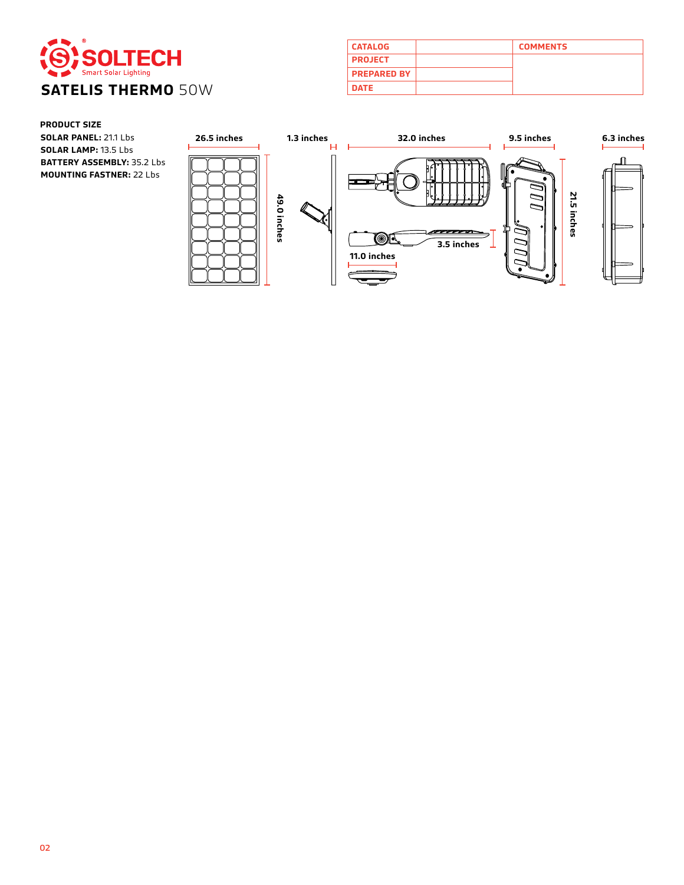

| <b>CATALOG</b>     | <b>COMMENTS</b> |
|--------------------|-----------------|
| <b>PROJECT</b>     |                 |
| <b>PREPARED BY</b> |                 |
| <b>DATE</b>        |                 |

# **PRODUCT SIZE**

**SOLAR PANEL:** 21.1 Lbs **26.5 inches SOLAR LAMP:** 13.5 Lbs **BATTERY ASSEMBLY:** 35.2 Lbs **MOUNTING FASTNER:** 22 Lbs

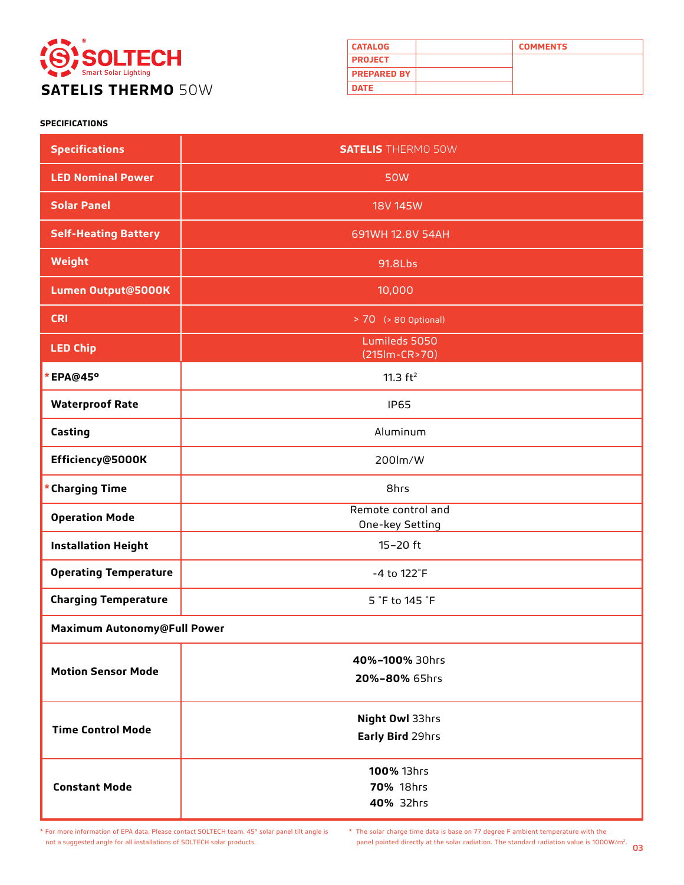

| <b>CATALOG</b>     | <b>COMMENTS</b> |
|--------------------|-----------------|
| <b>PROJECT</b>     |                 |
| <b>PREPARED BY</b> |                 |
| <b>DATE</b>        |                 |

# **SPECIFICATIONS**

| <b>Specifications</b>        | <b>SATELIS</b> THERMO 50W             |  |
|------------------------------|---------------------------------------|--|
| <b>LED Nominal Power</b>     | <b>50W</b>                            |  |
| <b>Solar Panel</b>           | <b>18V 145W</b>                       |  |
| <b>Self-Heating Battery</b>  | 691WH 12.8V 54AH                      |  |
| Weight                       | 91.8Lbs                               |  |
| Lumen Output@5000K           | 10,000                                |  |
| <b>CRI</b>                   | > 70 (> 80 Optional)                  |  |
| <b>LED Chip</b>              | Lumileds 5050<br>$(215lm-CR>70)$      |  |
| *EPA@45°                     | 11.3 $ft^2$                           |  |
| <b>Waterproof Rate</b>       | <b>IP65</b>                           |  |
| Casting                      | Aluminum                              |  |
| Efficiency@5000K             | 200lm/W                               |  |
| * Charging Time              | 8hrs                                  |  |
| <b>Operation Mode</b>        | Remote control and<br>One-key Setting |  |
| <b>Installation Height</b>   | $15 - 20$ ft                          |  |
| <b>Operating Temperature</b> | -4 to 122°F                           |  |
| <b>Charging Temperature</b>  | 5 °F to 145 °F                        |  |
| Maximum Autonomy@Full Power  |                                       |  |
| <b>Motion Sensor Mode</b>    | 40%-100% 30hrs<br>20%-80% 65hrs       |  |
| <b>Time Control Mode</b>     | Night Owl 33hrs<br>Early Bird 29hrs   |  |
| <b>Constant Mode</b>         | 100% 13hrs<br>70% 18hrs<br>40% 32hrs  |  |

\* For more information of EPA data, Please contact SOLTECH team. 45° solar panel tilt angle is not a suggested angle for all installations of SOLTECH solar products.

03 panel pointed directly at the solar radiation. The standard radiation value is 1000W/m2. \* The solar charge time data is base on 77 degree F ambient temperature with the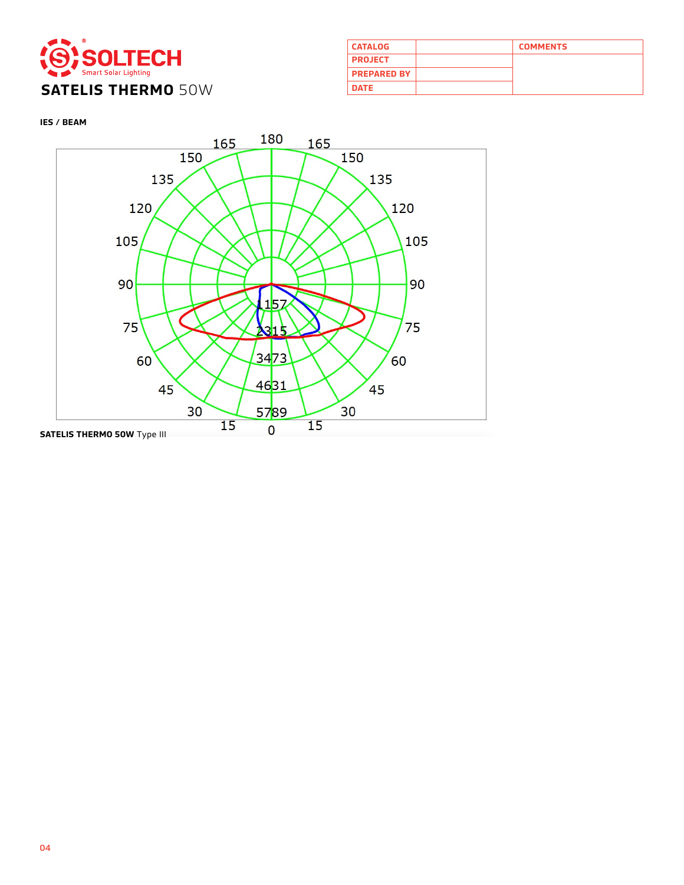

| <b>CATALOG</b>     | <b>COMMENTS</b> |
|--------------------|-----------------|
| <b>PROJECT</b>     |                 |
| <b>PREPARED BY</b> |                 |
| <b>DATE</b>        |                 |

**IES / BEAM**

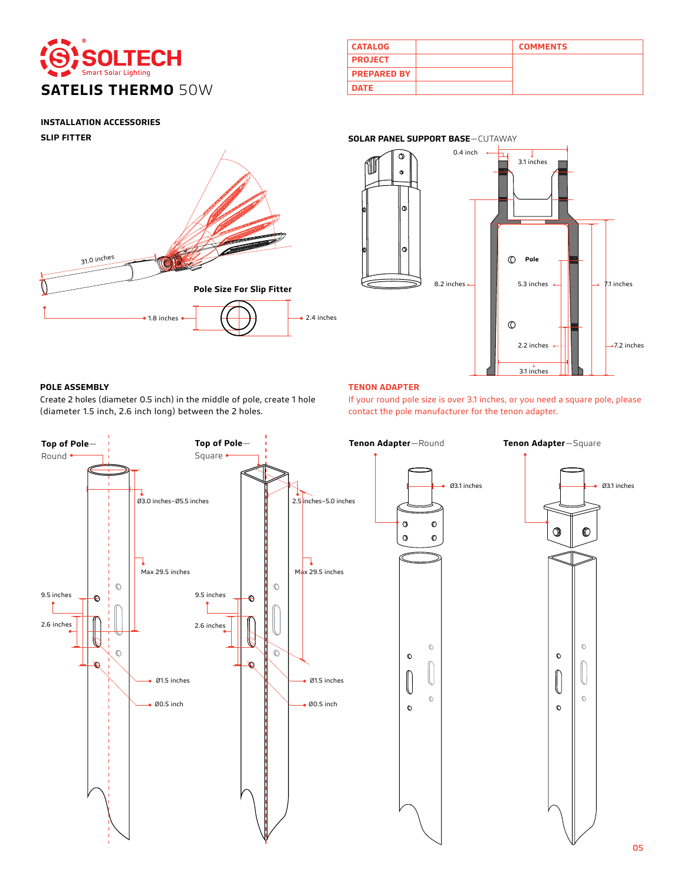

| <b>CATALOG</b>     | <b>COMMENTS</b> |
|--------------------|-----------------|
| <b>PROJECT</b>     |                 |
| <b>PREPARED BY</b> |                 |
| <b>DATE</b>        |                 |

# **INSTALLATION ACCESSORIES**

**SLIP FITTER**





# **POLE ASSEMBLY TENON ADAPTER**

Create 2 holes (diameter 0.5 inch) in the middle of pole, create 1 hole (diameter 1.5 inch, 2.6 inch long) between the 2 holes.

If your round pole size is over 3.1 inches, or you need a square pole, please contact the pole manufacturer for the tenon adapter.



# **SOLAR PANEL SUPPORT BASE**—CUTAWAY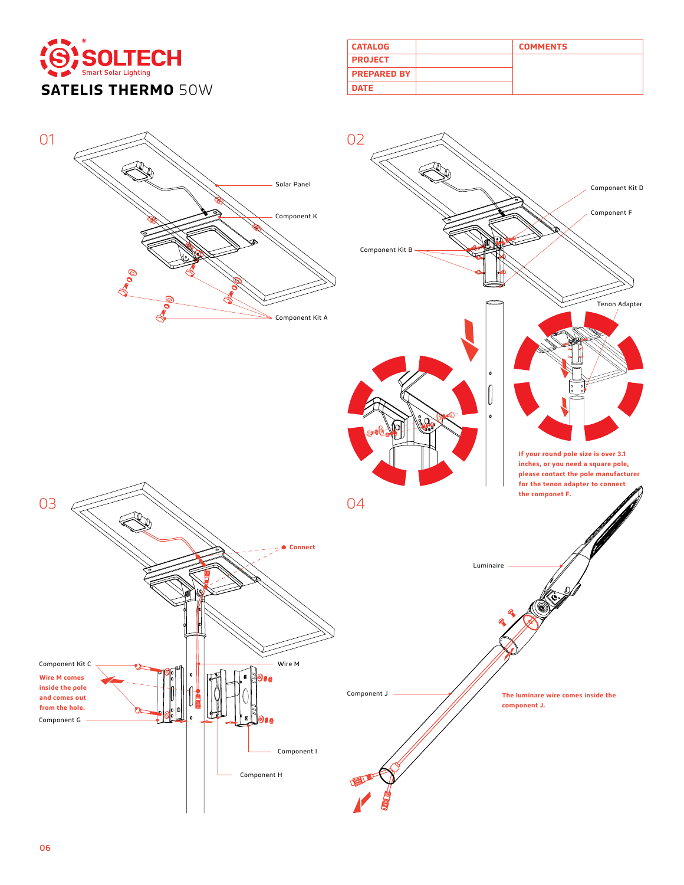

| <b>CATALOG</b>     | <b>COMMENTS</b> |
|--------------------|-----------------|
| <b>PROJECT</b>     |                 |
| <b>PREPARED BY</b> |                 |
| <b>DATE</b>        |                 |

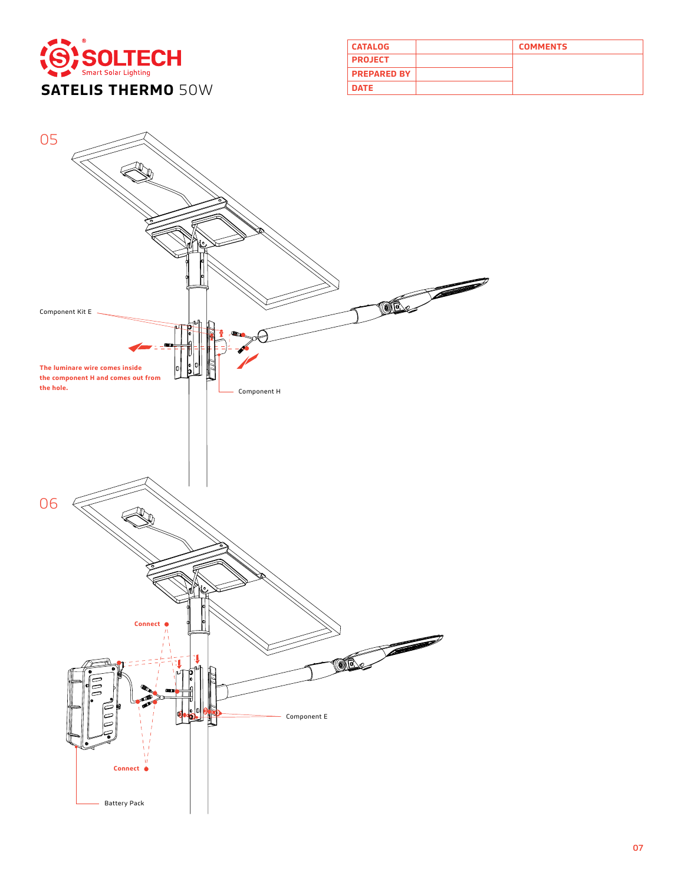

| <b>CATALOG</b>     | <b>COMMENTS</b> |
|--------------------|-----------------|
| <b>PROJECT</b>     |                 |
| <b>PREPARED BY</b> |                 |
| <b>DATE</b>        |                 |

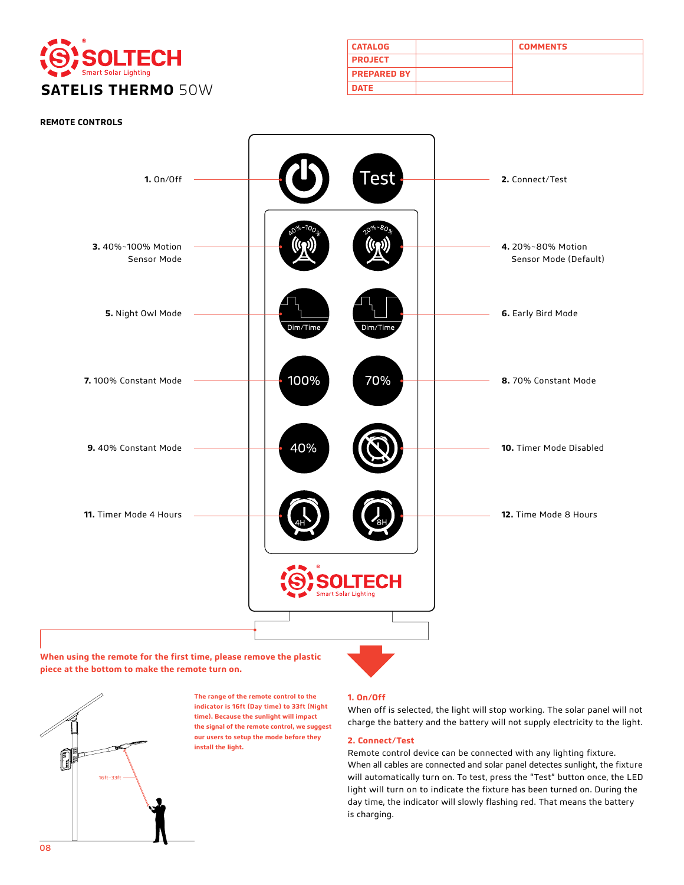

| <b>CATALOG</b>     | <b>COMMENTS</b> |
|--------------------|-----------------|
| <b>PROJECT</b>     |                 |
| <b>PREPARED BY</b> |                 |
| <b>DATE</b>        |                 |



**When using the remote for the first time, please remove the plastic piece at the bottom to make the remote turn on.**



**The range of the remote control to the indicator is 16ft (Day time) to 33ft (Night time). Because the sunlight will impact the signal of the remote control, we suggest our users to setup the mode before they install the light.** 

### **1. On/Off**

When off is selected, the light will stop working. The solar panel will not charge the battery and the battery will not supply electricity to the light.

# **2. Connect/Test**

Remote control device can be connected with any lighting fixture. When all cables are connected and solar panel detectes sunlight, the fixture will automatically turn on. To test, press the "Test" button once, the LED light will turn on to indicate the fixture has been turned on. During the day time, the indicator will slowly flashing red. That means the battery is charging.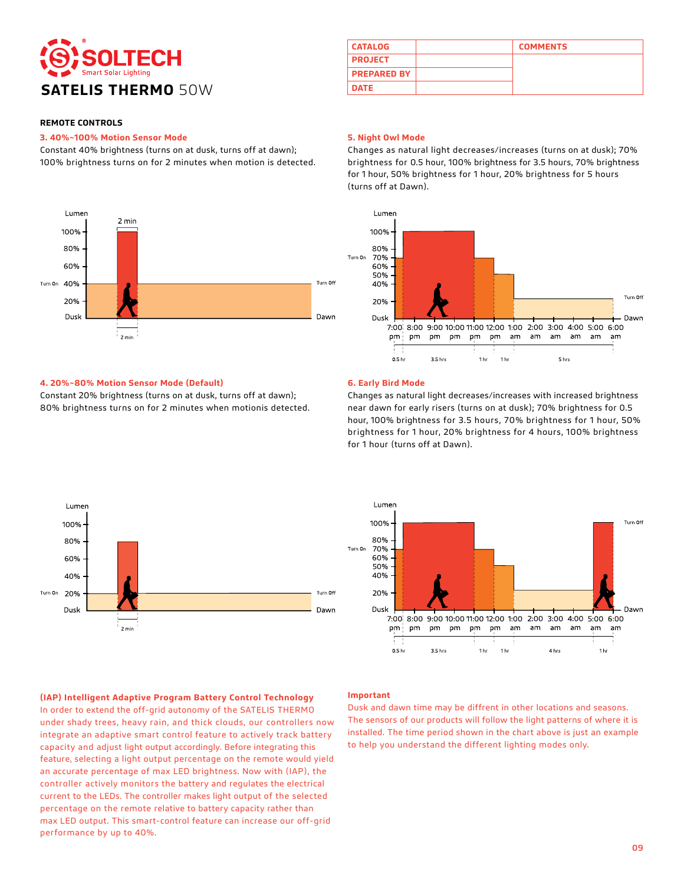

#### **3. 40%~100% Motion Sensor Mode**

Constant 40% brightness (turns on at dusk, turns off at dawn); 100% brightness turns on for 2 minutes when motion is detected.



# **CATALOG COMMENTS PROJECT PREPARED BY**

#### **5. Night Owl Mode**

Changes as natural light decreases/increases (turns on at dusk); 70% brightness for 0.5 hour, 100% brightness for 3.5 hours, 70% brightness for 1 hour, 50% brightness for 1 hour, 20% brightness for 5 hours (turns off at Dawn).



#### **4. 20%~80% Motion Sensor Mode (Default)**

Constant 20% brightness (turns on at dusk, turns off at dawn); 80% brightness turns on for 2 minutes when motionis detected.

#### **6. Early Bird Mode**

Changes as natural light decreases/increases with increased brightness near dawn for early risers (turns on at dusk); 70% brightness for 0.5 hour, 100% brightness for 3.5 hours, 70% brightness for 1 hour, 50% brightness for 1 hour, 20% brightness for 4 hours, 100% brightness for 1 hour (turns off at Dawn).





#### **(IAP) Intelligent Adaptive Program Battery Control Technology**

In order to extend the off-grid autonomy of the SATELIS THERMO under shady trees, heavy rain, and thick clouds, our controllers now integrate an adaptive smart control feature to actively track battery capacity and adjust light output accordingly. Before integrating this feature, selecting a light output percentage on the remote would yield an accurate percentage of max LED brightness. Now with (IAP), the controller actively monitors the battery and regulates the electrical current to the LEDs. The controller makes light output of the selected percentage on the remote relative to battery capacity rather than max LED output. This smart-control feature can increase our off-grid performance by up to 40%.

#### **Important**

Dusk and dawn time may be diffrent in other locations and seasons. The sensors of our products will follow the light patterns of where it is installed. The time period shown in the chart above is just an example to help you understand the different lighting modes only.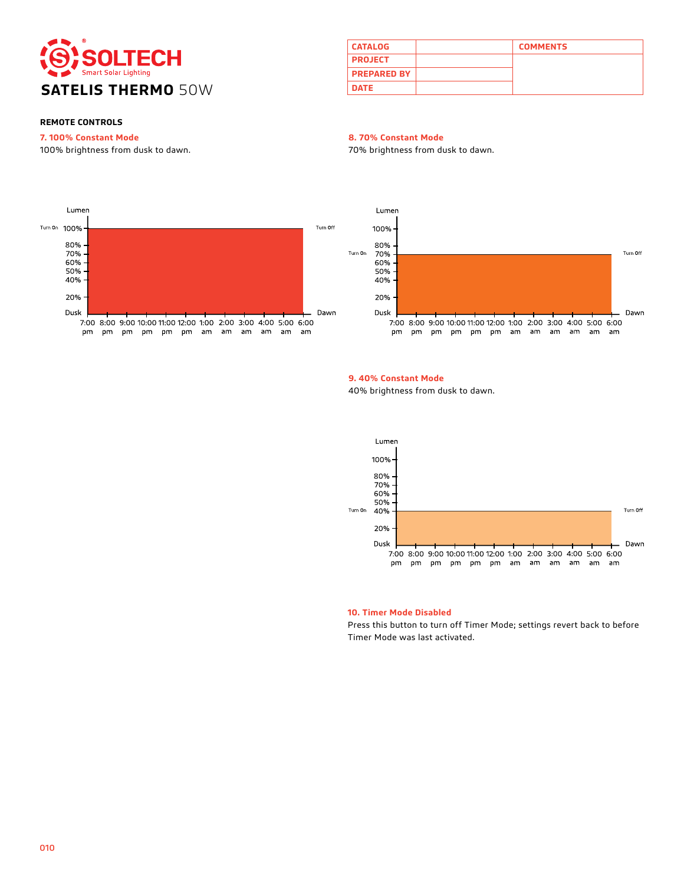

| <b>CATALOG</b>     | <b>COMMENTS</b> |
|--------------------|-----------------|
| <b>PROJECT</b>     |                 |
| <b>PREPARED BY</b> |                 |
| <b>DATE</b>        |                 |

# **7. 100% Constant Mode**

100% brightness from dusk to dawn.

#### **8. 70% Constant Mode**

70% brightness from dusk to dawn.





# **9. 40% Constant Mode**

40% brightness from dusk to dawn.



#### **10. Timer Mode Disabled**

Press this button to turn off Timer Mode; settings revert back to before Timer Mode was last activated.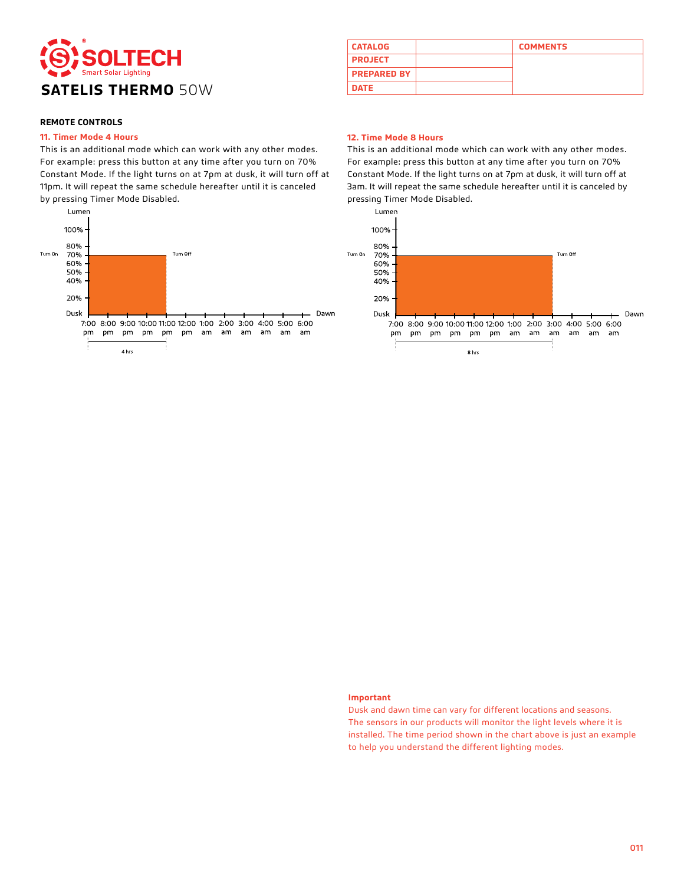

#### **11. Timer Mode 4 Hours**

This is an additional mode which can work with any other modes. For example: press this button at any time after you turn on 70% Constant Mode. If the light turns on at 7pm at dusk, it will turn off at 11pm. It will repeat the same schedule hereafter until it is canceled by pressing Timer Mode Disabled.



# **CATALOG COMMENTS PROJECT PREPARED BY**

#### **12. Time Mode 8 Hours**

This is an additional mode which can work with any other modes. For example: press this button at any time after you turn on 70% Constant Mode. If the light turns on at 7pm at dusk, it will turn off at 3am. It will repeat the same schedule hereafter until it is canceled by pressing Timer Mode Disabled.



#### **Important**

Dusk and dawn time can vary for different locations and seasons. The sensors in our products will monitor the light levels where it is installed. The time period shown in the chart above is just an example to help you understand the different lighting modes.